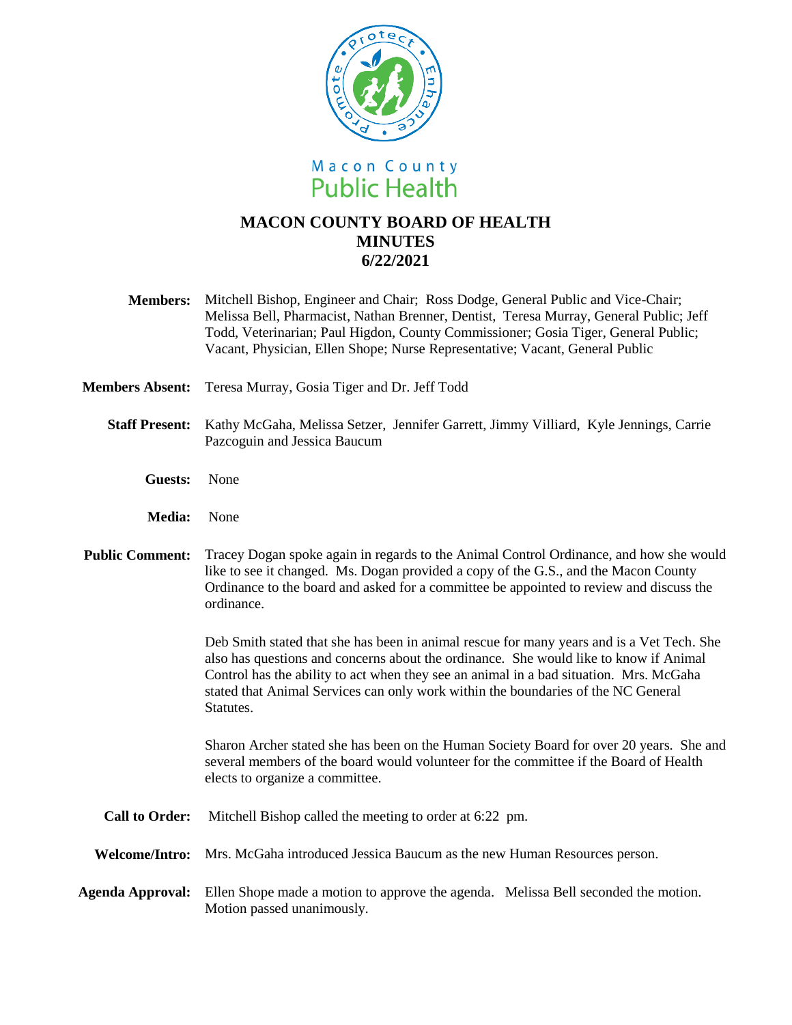

# **MACON COUNTY BOARD OF HEALTH MINUTES 6/22/2021**

- **Members:** Mitchell Bishop, Engineer and Chair; Ross Dodge, General Public and Vice-Chair; Melissa Bell, Pharmacist, Nathan Brenner, Dentist, Teresa Murray, General Public; Jeff Todd, Veterinarian; Paul Higdon, County Commissioner; Gosia Tiger, General Public; Vacant, Physician, Ellen Shope; Nurse Representative; Vacant, General Public
- **Members Absent:** Teresa Murray, Gosia Tiger and Dr. Jeff Todd
	- **Staff Present:** Kathy McGaha, Melissa Setzer, Jennifer Garrett, Jimmy Villiard, Kyle Jennings, Carrie Pazcoguin and Jessica Baucum
		- **Guests:** None
		- **Media:** None
- **Public Comment:** Tracey Dogan spoke again in regards to the Animal Control Ordinance, and how she would like to see it changed. Ms. Dogan provided a copy of the G.S., and the Macon County Ordinance to the board and asked for a committee be appointed to review and discuss the ordinance.

Deb Smith stated that she has been in animal rescue for many years and is a Vet Tech. She also has questions and concerns about the ordinance. She would like to know if Animal Control has the ability to act when they see an animal in a bad situation. Mrs. McGaha stated that Animal Services can only work within the boundaries of the NC General Statutes.

Sharon Archer stated she has been on the Human Society Board for over 20 years. She and several members of the board would volunteer for the committee if the Board of Health elects to organize a committee.

- **Call to Order:** Mitchell Bishop called the meeting to order at 6:22 pm.
- **Welcome/Intro:** Mrs. McGaha introduced Jessica Baucum as the new Human Resources person.
- **Agenda Approval:** Ellen Shope made a motion to approve the agenda. Melissa Bell seconded the motion. Motion passed unanimously.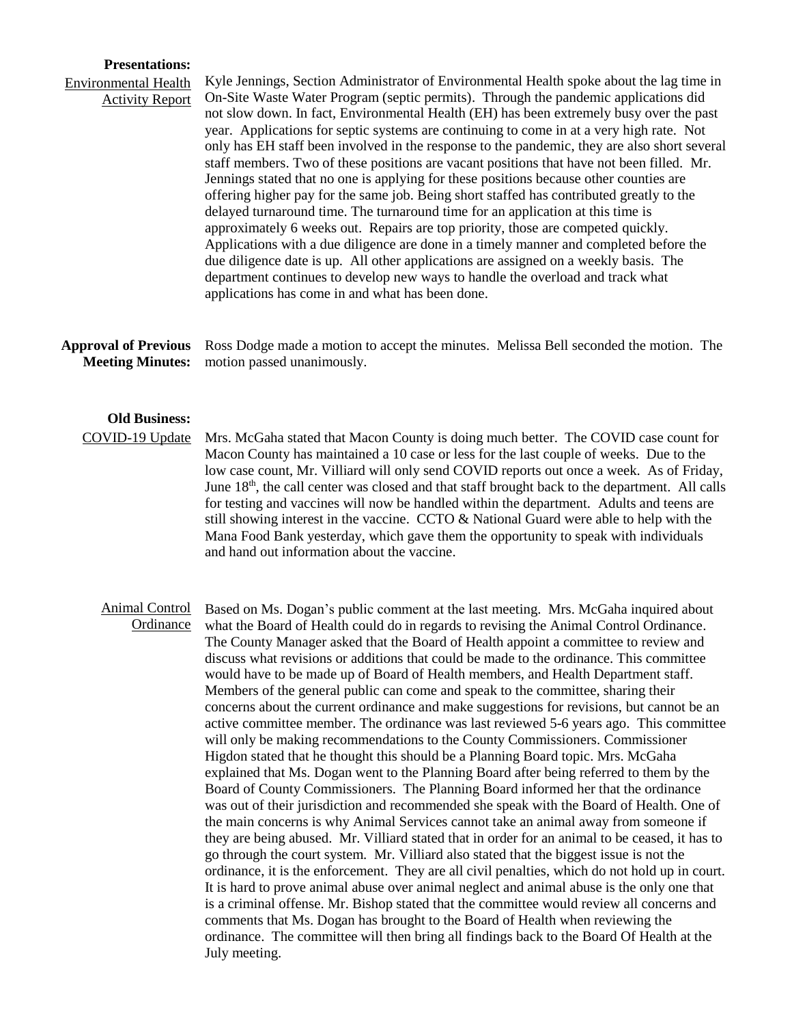### **Presentations:**

## Environmental Health Activity Report

Kyle Jennings, Section Administrator of Environmental Health spoke about the lag time in On-Site Waste Water Program (septic permits). Through the pandemic applications did not slow down. In fact, Environmental Health (EH) has been extremely busy over the past year. Applications for septic systems are continuing to come in at a very high rate. Not only has EH staff been involved in the response to the pandemic, they are also short several staff members. Two of these positions are vacant positions that have not been filled. Mr. Jennings stated that no one is applying for these positions because other counties are offering higher pay for the same job. Being short staffed has contributed greatly to the delayed turnaround time. The turnaround time for an application at this time is approximately 6 weeks out. Repairs are top priority, those are competed quickly. Applications with a due diligence are done in a timely manner and completed before the due diligence date is up. All other applications are assigned on a weekly basis. The department continues to develop new ways to handle the overload and track what applications has come in and what has been done.

**Approval of Previous Meeting Minutes:** Ross Dodge made a motion to accept the minutes. Melissa Bell seconded the motion. The motion passed unanimously.

## **Old Business:**

COVID-19 Update

Mrs. McGaha stated that Macon County is doing much better. The COVID case count for Macon County has maintained a 10 case or less for the last couple of weeks. Due to the low case count, Mr. Villiard will only send COVID reports out once a week. As of Friday, June  $18<sup>th</sup>$ , the call center was closed and that staff brought back to the department. All calls for testing and vaccines will now be handled within the department. Adults and teens are still showing interest in the vaccine. CCTO & National Guard were able to help with the Mana Food Bank yesterday, which gave them the opportunity to speak with individuals and hand out information about the vaccine.

#### Animal Control **Ordinance** Based on Ms. Dogan's public comment at the last meeting. Mrs. McGaha inquired about what the Board of Health could do in regards to revising the Animal Control Ordinance. The County Manager asked that the Board of Health appoint a committee to review and discuss what revisions or additions that could be made to the ordinance. This committee would have to be made up of Board of Health members, and Health Department staff. Members of the general public can come and speak to the committee, sharing their concerns about the current ordinance and make suggestions for revisions, but cannot be an active committee member. The ordinance was last reviewed 5-6 years ago. This committee will only be making recommendations to the County Commissioners. Commissioner Higdon stated that he thought this should be a Planning Board topic. Mrs. McGaha explained that Ms. Dogan went to the Planning Board after being referred to them by the Board of County Commissioners. The Planning Board informed her that the ordinance was out of their jurisdiction and recommended she speak with the Board of Health. One of the main concerns is why Animal Services cannot take an animal away from someone if they are being abused. Mr. Villiard stated that in order for an animal to be ceased, it has to go through the court system. Mr. Villiard also stated that the biggest issue is not the ordinance, it is the enforcement. They are all civil penalties, which do not hold up in court. It is hard to prove animal abuse over animal neglect and animal abuse is the only one that is a criminal offense. Mr. Bishop stated that the committee would review all concerns and comments that Ms. Dogan has brought to the Board of Health when reviewing the ordinance. The committee will then bring all findings back to the Board Of Health at the July meeting.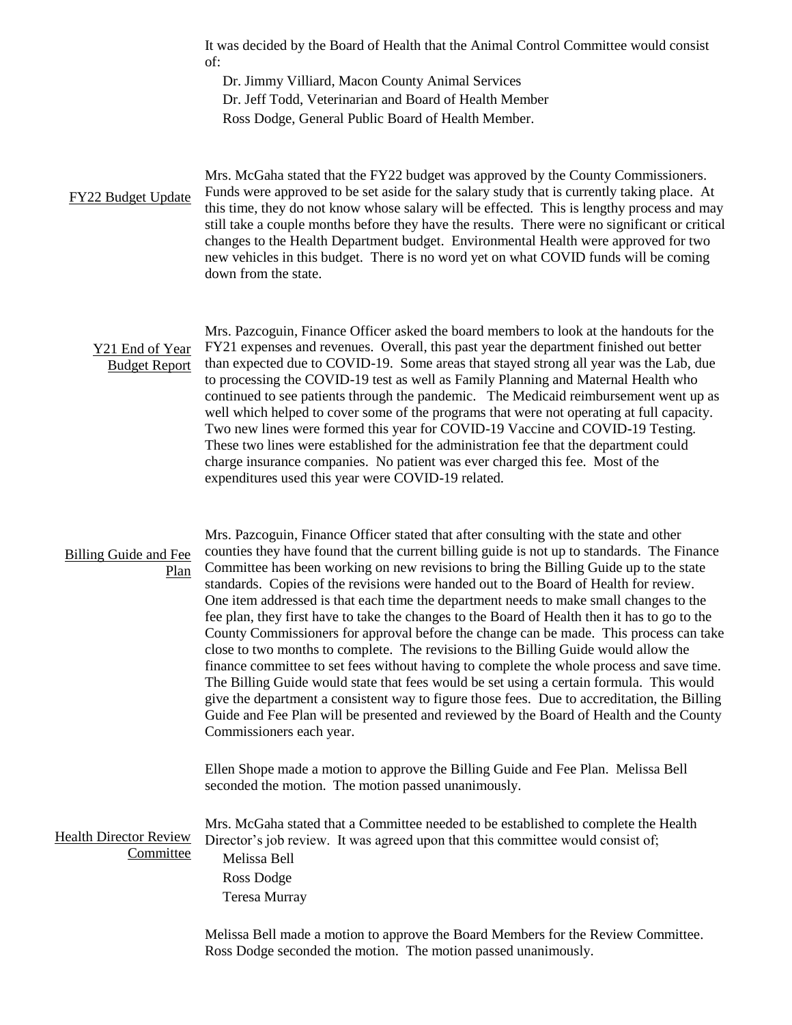|                                            | It was decided by the Board of Health that the Animal Control Committee would consist<br>of:<br>Dr. Jimmy Villiard, Macon County Animal Services<br>Dr. Jeff Todd, Veterinarian and Board of Health Member<br>Ross Dodge, General Public Board of Health Member.                                                                                                                                                                                                                                                                                                                                                                                                                                                                                                                                                                                                                                                                                                                                                                                                                                                                                                    |
|--------------------------------------------|---------------------------------------------------------------------------------------------------------------------------------------------------------------------------------------------------------------------------------------------------------------------------------------------------------------------------------------------------------------------------------------------------------------------------------------------------------------------------------------------------------------------------------------------------------------------------------------------------------------------------------------------------------------------------------------------------------------------------------------------------------------------------------------------------------------------------------------------------------------------------------------------------------------------------------------------------------------------------------------------------------------------------------------------------------------------------------------------------------------------------------------------------------------------|
| FY22 Budget Update                         | Mrs. McGaha stated that the FY22 budget was approved by the County Commissioners.<br>Funds were approved to be set aside for the salary study that is currently taking place. At<br>this time, they do not know whose salary will be effected. This is lengthy process and may<br>still take a couple months before they have the results. There were no significant or critical<br>changes to the Health Department budget. Environmental Health were approved for two<br>new vehicles in this budget. There is no word yet on what COVID funds will be coming<br>down from the state.                                                                                                                                                                                                                                                                                                                                                                                                                                                                                                                                                                             |
| Y21 End of Year<br><b>Budget Report</b>    | Mrs. Pazcoguin, Finance Officer asked the board members to look at the handouts for the<br>FY21 expenses and revenues. Overall, this past year the department finished out better<br>than expected due to COVID-19. Some areas that stayed strong all year was the Lab, due<br>to processing the COVID-19 test as well as Family Planning and Maternal Health who<br>continued to see patients through the pandemic. The Medicaid reimbursement went up as<br>well which helped to cover some of the programs that were not operating at full capacity.<br>Two new lines were formed this year for COVID-19 Vaccine and COVID-19 Testing.<br>These two lines were established for the administration fee that the department could<br>charge insurance companies. No patient was ever charged this fee. Most of the<br>expenditures used this year were COVID-19 related.                                                                                                                                                                                                                                                                                           |
| Billing Guide and Fee<br><b>Plan</b>       | Mrs. Pazcoguin, Finance Officer stated that after consulting with the state and other<br>counties they have found that the current billing guide is not up to standards. The Finance<br>Committee has been working on new revisions to bring the Billing Guide up to the state<br>standards. Copies of the revisions were handed out to the Board of Health for review.<br>One item addressed is that each time the department needs to make small changes to the<br>fee plan, they first have to take the changes to the Board of Health then it has to go to the<br>County Commissioners for approval before the change can be made. This process can take<br>close to two months to complete. The revisions to the Billing Guide would allow the<br>finance committee to set fees without having to complete the whole process and save time.<br>The Billing Guide would state that fees would be set using a certain formula. This would<br>give the department a consistent way to figure those fees. Due to accreditation, the Billing<br>Guide and Fee Plan will be presented and reviewed by the Board of Health and the County<br>Commissioners each year. |
| <b>Health Director Review</b><br>Committee | Ellen Shope made a motion to approve the Billing Guide and Fee Plan. Melissa Bell<br>seconded the motion. The motion passed unanimously.<br>Mrs. McGaha stated that a Committee needed to be established to complete the Health<br>Director's job review. It was agreed upon that this committee would consist of;<br>Melissa Bell<br>Ross Dodge<br>Teresa Murray                                                                                                                                                                                                                                                                                                                                                                                                                                                                                                                                                                                                                                                                                                                                                                                                   |
|                                            | Melissa Bell made a motion to approve the Board Members for the Review Committee.<br>Ross Dodge seconded the motion. The motion passed unanimously.                                                                                                                                                                                                                                                                                                                                                                                                                                                                                                                                                                                                                                                                                                                                                                                                                                                                                                                                                                                                                 |